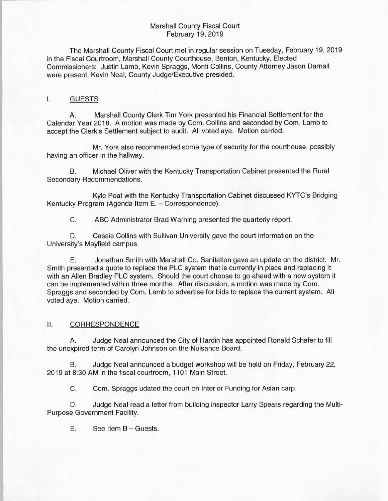## Marshall County Fiscal Court February 19, 2019

The Marshall County Fiscal Court met in regular session on Tuesday, February 19, 2019 in the Fiscal Courtroom, Marshall County Courthouse, Benton, Kentucky. Elected Commissioners: Justin Lamb, Kevin Spraggs, Monti Collins, County Attorney Jason Darnall were present. Kevin Neal, County Judge/Executive presided.

# I. GUESTS

A. Marshall County Clerk Tim York presented his Financial Settlement for the Calendar Year 2018. A motion was made by Com. Collins and seconded by Com. Lamb to accept the Clerk's Settlement subject to audit. All voted aye. Motion carried.

Mr. York also recommended some type of security for the courthouse, possibly having an officer in the hallway.

B. Michael Oliver with the Kentucky Transportation Cabinet presented the Rural Secondary Recommendations.

Kyle Poat with the Kentucky Transportation Cabinet discussed KYTC's Bridging Kentucky Program (Agenda Item E. — Correspondence).

C. ABC Administrator Brad Warning presented the quarterly report.

D. Cassie Collins with Sullivan University gave the court information on the University's Mayfield campus.

E. Jonathan Smith with Marshall Co. Sanitation gave an update on the district. Mr. Smith presented a quote to replace the PLC system that is currently in place and replacing it with an Allen Bradley PLC system. Should the court choose to go ahead with a new system it can be implemented within three months. After discussion, a motion was made by Com. Spraggs and seconded by Com. Lamb to advertise for bids to replace the current system. All voted aye. Motion carried.

#### II. CORRESPONDENCE

A. Judge Neal announced the City of Hardin has appointed Ronald Schafer to fill the unexpired term of Carolyn Johnson on the Nuisance Board.

B. Judge Neal announced a budget workshop will be held on Friday, February 22, 2019 at 8:30 AM in the fiscal courtroom, 1101 Main Street.

C. Com. Spraggs udated the court on Interior Funding for Asian carp.

D. Judge Neal read a letter from building inspector Larry Spears regarding the Multi-Purpose Government Facility.

E. See Item B — Guests.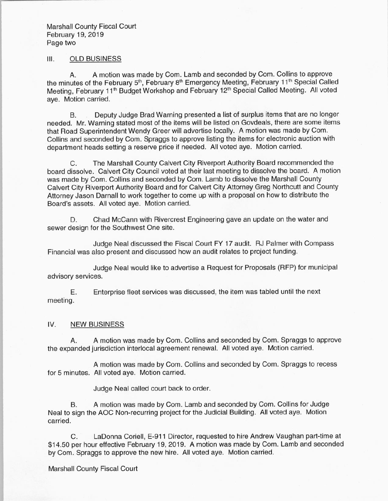Marshall County Fiscal Court February 19, 2019 Page two

### III. OLD BUSINESS

A. A motion was made by Com. Lamb and seconded by Com. Collins to approve the minutes of the February 5<sup>th</sup>, February 8<sup>th</sup> Emergency Meeting, February 11<sup>th</sup> Special Called Meeting, February 11<sup>th</sup> Budget Workshop and February 12<sup>th</sup> Special Called Meeting. All voted aye. Motion carried.

B. Deputy Judge Brad Warning presented a list of surplus items that are no longer needed. Mr. Warning stated most of the items will be listed on Govdeals, there are some items that Road Superintendent Wendy Greer will advertise locally. A motion was made by Com. Collins and seconded by Com. Spraggs to approve listing the items for electronic auction with department heads setting a reserve price if needed. All voted aye. Motion carried.

C. The Marshall County Calvert City Riverport Authority Board recommended the board dissolve. Calvert City Council voted at their last meeting to dissolve the board. A motion was made by Com. Collins and seconded by Com. Lamb to dissolve the Marshall County Calvert City Riverport Authority Board and for Calvert City Attorney Greg Northcutt and County Attorney Jason Darnall to work together to come up with a proposal on how to distribute the Board's assets. All voted aye. Motion carried.

D. Chad McCann with Rivercrest Engineering gave an update on the water and sewer design for the Southwest One site.

Judge Neal discussed the Fiscal Court FY 17 audit. RJ Palmer with Compass Financial was also present and discussed how an audit relates to project funding.

Judge Neal would like to advertise a Request for Proposals ( RFP) for municipal advisory services.

E. Enterprise fleet services was discussed, the item was tabled until the next meeting.

# IV. NEW BUSINESS

A. A motion was made by Com. Collins and seconded by Com. Spraggs to approve the expanded jurisdiction interlocal agreement renewal. All voted aye. Motion carried.

A motion was made by Com. Collins and seconded by Com. Spraggs to recess for 5 minutes. All voted aye. Motion carried.

Judge Neal called court back to order.

B. A motion was made by Com. Lamb and seconded by Com. Collins for Judge Neal to sign the AOC Non-recurring project for the Judicial Building. All voted aye. Motion carried.

C. LaDonna Coriell, E-911 Director, requested to hire Andrew Vaughan part-time at \$14.50 per hour effective February 19, 2019. A motion was made by Com. Lamb and seconded by Com. Spraggs to approve the new hire. All voted aye. Motion carried.

Marshall County Fiscal Court